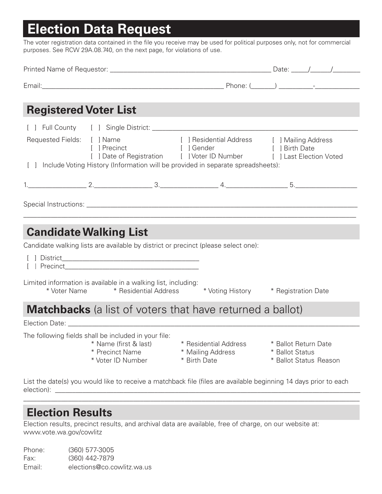## **Election Data Request**

The voter registration data contained in the file you receive may be used for political purposes only, not for commercial purposes. See RCW 29A.08.740, on the next page, for violations of use.

| <b>Registered Voter List</b>                                                                                                   |                                                               |                                                                                                                                                                                                                                                           |                 |                                                |
|--------------------------------------------------------------------------------------------------------------------------------|---------------------------------------------------------------|-----------------------------------------------------------------------------------------------------------------------------------------------------------------------------------------------------------------------------------------------------------|-----------------|------------------------------------------------|
|                                                                                                                                | [ ] Precinct [ ] Gender                                       | Requested Fields: [ ] Name [ ] ] Residential Address [ ] Mailing Address<br>[ ] Birth Date<br>[ ] Date of Registration [   Voter ID Number [ ] Last Election Voted<br>[ ] Include Voting History (Information will be provided in separate spreadsheets): |                 |                                                |
|                                                                                                                                |                                                               |                                                                                                                                                                                                                                                           |                 |                                                |
| <b>Candidate Walking List</b>                                                                                                  |                                                               |                                                                                                                                                                                                                                                           |                 |                                                |
|                                                                                                                                |                                                               | Candidate walking lists are available by district or precinct (please select one):                                                                                                                                                                        |                 |                                                |
| Limited information is available in a walking list, including:                                                                 |                                                               | * Voter Name * Residential Address * Voting History * Registration Date                                                                                                                                                                                   |                 |                                                |
|                                                                                                                                |                                                               | <b>Matchbacks</b> (a list of voters that have returned a ballot)                                                                                                                                                                                          |                 |                                                |
|                                                                                                                                |                                                               |                                                                                                                                                                                                                                                           |                 |                                                |
| The following fields shall be included in your file:                                                                           | * Name (first & last)<br>* Precinct Name<br>* Voter ID Number | * Residential Address<br>* Mailing Address<br>* Birth Date                                                                                                                                                                                                | * Ballot Status | * Ballot Return Date<br>* Ballot Status Reason |
| List the date(s) you would like to receive a matchback file (files are available beginning 14 days prior to each<br>election): |                                                               |                                                                                                                                                                                                                                                           |                 |                                                |

## **Election Results**

Election results, precinct results, and archival data are available, free of charge, on our website at: www.vote.wa.gov/cowlitz

\_\_\_\_\_\_\_\_\_\_\_\_\_\_\_\_\_\_\_\_\_\_\_\_\_\_\_\_\_\_\_\_\_\_\_\_\_\_\_\_\_\_\_\_\_\_\_\_\_\_\_\_\_\_\_\_\_\_\_\_\_\_\_\_\_\_\_\_\_\_\_\_\_\_\_\_\_\_\_\_\_\_\_\_\_\_\_\_\_\_\_\_\_\_\_\_\_\_

Phone: (360) 577-3005 Fax: (360) 442-7879 Email: elections@co.cowlitz.wa.us